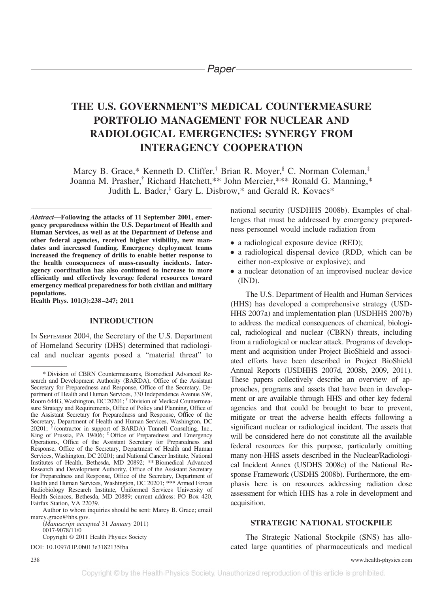# **THE U.S. GOVERNMENT'S MEDICAL COUNTERMEASURE PORTFOLIO MANAGEMENT FOR NUCLEAR AND RADIOLOGICAL EMERGENCIES: SYNERGY FROM INTERAGENCY COOPERATION**

Marcy B. Grace,\* Kenneth D. Cliffer,† Brian R. Moyer,§ C. Norman Coleman,‡ Joanna M. Prasher,† Richard Hatchett,\*\* John Mercier,\*\*\* Ronald G. Manning,\* Judith L. Bader,<sup>‡</sup> Gary L. Disbrow,\* and Gerald R. Kovacs\*

*Abstract***—Following the attacks of 11 September 2001, emergency preparedness within the U.S. Department of Health and Human Services, as well as at the Department of Defense and other federal agencies, received higher visibility, new mandates and increased funding. Emergency deployment teams increased the frequency of drills to enable better response to the health consequences of mass-casualty incidents. Interagency coordination has also continued to increase to more efficiently and effectively leverage federal resources toward emergency medical preparedness for both civilian and military populations.**

**Health Phys. 101(3):238 –247; 2011**

# **INTRODUCTION**

IN SEPTEMBER 2004, the Secretary of the U.S. Department of Homeland Security (DHS) determined that radiological and nuclear agents posed a "material threat" to

(*Manuscript accepted* 31 *January* 2011) 0017-9078/11/0

Copyright © 2011 Health Physics Society

DOI: 10.1097/HP.0b013e3182135fba

national security (USDHHS 2008b). Examples of challenges that must be addressed by emergency preparedness personnel would include radiation from

- a radiological exposure device (RED);
- a radiological dispersal device (RDD, which can be either non-explosive or explosive); and
- a nuclear detonation of an improvised nuclear device (IND).

The U.S. Department of Health and Human Services (HHS) has developed a comprehensive strategy (USD-HHS 2007a) and implementation plan (USDHHS 2007b) to address the medical consequences of chemical, biological, radiological and nuclear (CBRN) threats, including from a radiological or nuclear attack. Programs of development and acquisition under Project BioShield and associated efforts have been described in Project BioShield Annual Reports (USDHHS 2007d, 2008b, 2009, 2011). These papers collectively describe an overview of approaches, programs and assets that have been in development or are available through HHS and other key federal agencies and that could be brought to bear to prevent, mitigate or treat the adverse health effects following a significant nuclear or radiological incident. The assets that will be considered here do not constitute all the available federal resources for this purpose, particularly omitting many non-HHS assets described in the Nuclear/Radiological Incident Annex (USDHS 2008c) of the National Response Framework (USDHS 2008b). Furthermore, the emphasis here is on resources addressing radiation dose assessment for which HHS has a role in development and acquisition.

## **STRATEGIC NATIONAL STOCKPILE**

The Strategic National Stockpile (SNS) has allocated large quantities of pharmaceuticals and medical

<sup>\*</sup> Division of CBRN Countermeasures, Biomedical Advanced Research and Development Authority (BARDA), Office of the Assistant Secretary for Preparedness and Response, Office of the Secretary, Department of Health and Human Services, 330 Independence Avenue SW, Room 644G, Washington, DC 20201; † Division of Medical Countermeasure Strategy and Requirements, Office of Policy and Planning, Office of the Assistant Secretary for Preparedness and Response, Office of the Secretary, Department of Health and Human Services, Washington, DC 20201; § (contractor in support of BARDA) Tunnell Consulting, Inc., King of Prussia, PA 19406; <sup>‡</sup> Office of Preparedness and Emergency Operations, Office of the Assistant Secretary for Preparedness and Response, Office of the Secretary, Department of Health and Human Services, Washington, DC 20201; and National Cancer Institute, National Institutes of Health, Bethesda, MD 20892; \*\* Biomedical Advanced Research and Development Authority, Office of the Assistant Secretary for Preparedness and Response, Office of the Secretary, Department of Health and Human Services, Washington, DC 20201; \*\*\* Armed Forces Radiobiology Research Institute, Uniformed Services University of Health Sciences, Bethesda, MD 20889; current address: PO Box 420, Fairfax Station, VA 22039.

Author to whom inquiries should be sent: Marcy B. Grace; email marcy.grace@hhs.gov.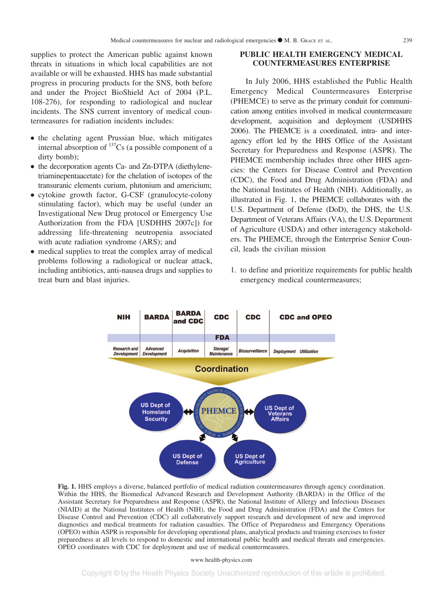supplies to protect the American public against known threats in situations in which local capabilities are not available or will be exhausted. HHS has made substantial progress in procuring products for the SNS, both before and under the Project BioShield Act of 2004 (P.L. 108-276), for responding to radiological and nuclear incidents. The SNS current inventory of medical countermeasures for radiation incidents includes:

- the chelating agent Prussian blue, which mitigates internal absorption of  $137Cs$  (a possible component of a dirty bomb);
- the decorporation agents Ca- and Zn-DTPA (diethylenetriaminepentaacetate) for the chelation of isotopes of the transuranic elements curium, plutonium and americium;
- cytokine growth factor, G-CSF (granulocyte-colony stimulating factor), which may be useful (under an Investigational New Drug protocol or Emergency Use Authorization from the FDA [USDHHS 2007c]) for addressing life-threatening neutropenia associated with acute radiation syndrome (ARS); and
- medical supplies to treat the complex array of medical problems following a radiological or nuclear attack, including antibiotics, anti-nausea drugs and supplies to treat burn and blast injuries.

# **PUBLIC HEALTH EMERGENCY MEDICAL COUNTERMEASURES ENTERPRISE**

In July 2006, HHS established the Public Health Emergency Medical Countermeasures Enterprise (PHEMCE) to serve as the primary conduit for communication among entities involved in medical countermeasure development, acquisition and deployment (USDHHS 2006). The PHEMCE is a coordinated, intra- and interagency effort led by the HHS Office of the Assistant Secretary for Preparedness and Response (ASPR). The PHEMCE membership includes three other HHS agencies: the Centers for Disease Control and Prevention (CDC), the Food and Drug Administration (FDA) and the National Institutes of Health (NIH). Additionally, as illustrated in Fig. 1, the PHEMCE collaborates with the U.S. Department of Defense (DoD), the DHS, the U.S. Department of Veterans Affairs (VA), the U.S. Department of Agriculture (USDA) and other interagency stakeholders. The PHEMCE, through the Enterprise Senior Council, leads the civilian mission

1. to define and prioritize requirements for public health emergency medical countermeasures;



**Fig. 1.** HHS employs a diverse, balanced portfolio of medical radiation countermeasures through agency coordination. Within the HHS, the Biomedical Advanced Research and Development Authority (BARDA) in the Office of the Assistant Secretary for Preparedness and Response (ASPR), the National Institute of Allergy and Infectious Diseases (NIAID) at the National Institutes of Health (NIH), the Food and Drug Administration (FDA) and the Centers for Disease Control and Prevention (CDC) all collaboratively support research and development of new and improved diagnostics and medical treatments for radiation casualties. The Office of Preparedness and Emergency Operations (OPEO) within ASPR is responsible for developing operational plans, analytical products and training exercises to foster preparedness at all levels to respond to domestic and international public health and medical threats and emergencies. OPEO coordinates with CDC for deployment and use of medical countermeasures.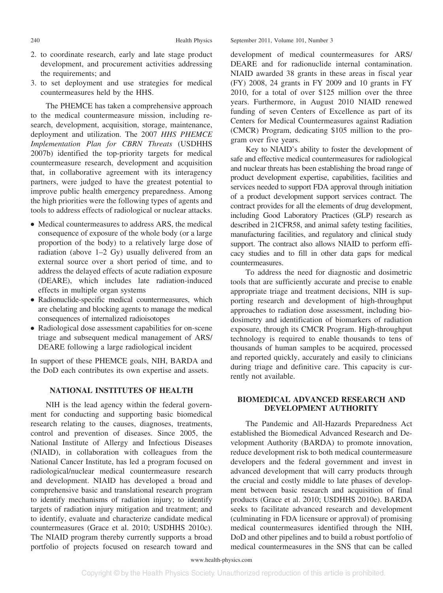- 2. to coordinate research, early and late stage product development, and procurement activities addressing the requirements; and
- 3. to set deployment and use strategies for medical countermeasures held by the HHS.

The PHEMCE has taken a comprehensive approach to the medical countermeasure mission, including research, development, acquisition, storage, maintenance, deployment and utilization. The 2007 *HHS PHEMCE Implementation Plan for CBRN Threats* (USDHHS 2007b) identified the top-priority targets for medical countermeasure research, development and acquisition that, in collaborative agreement with its interagency partners, were judged to have the greatest potential to improve public health emergency preparedness. Among the high priorities were the following types of agents and tools to address effects of radiological or nuclear attacks.

- Medical countermeasures to address ARS, the medical consequence of exposure of the whole body (or a large proportion of the body) to a relatively large dose of radiation (above 1–2 Gy) usually delivered from an external source over a short period of time, and to address the delayed effects of acute radiation exposure (DEARE), which includes late radiation-induced effects in multiple organ systems
- Radionuclide-specific medical countermeasures, which are chelating and blocking agents to manage the medical consequences of internalized radioisotopes
- Radiological dose assessment capabilities for on-scene triage and subsequent medical management of ARS/ DEARE following a large radiological incident

In support of these PHEMCE goals, NIH, BARDA and the DoD each contributes its own expertise and assets.

# **NATIONAL INSTITUTES OF HEALTH**

NIH is the lead agency within the federal government for conducting and supporting basic biomedical research relating to the causes, diagnoses, treatments, control and prevention of diseases. Since 2005, the National Institute of Allergy and Infectious Diseases (NIAID), in collaboration with colleagues from the National Cancer Institute, has led a program focused on radiological/nuclear medical countermeasure research and development. NIAID has developed a broad and comprehensive basic and translational research program to identify mechanisms of radiation injury; to identify targets of radiation injury mitigation and treatment; and to identify, evaluate and characterize candidate medical countermeasures (Grace et al. 2010; USDHHS 2010c). The NIAID program thereby currently supports a broad portfolio of projects focused on research toward and

development of medical countermeasures for ARS/ DEARE and for radionuclide internal contamination. NIAID awarded 38 grants in these areas in fiscal year (FY) 2008, 24 grants in FY 2009 and 10 grants in FY 2010, for a total of over \$125 million over the three years. Furthermore, in August 2010 NIAID renewed funding of seven Centers of Excellence as part of its Centers for Medical Countermeasures against Radiation (CMCR) Program, dedicating \$105 million to the program over five years.

Key to NIAID's ability to foster the development of safe and effective medical countermeasures for radiological and nuclear threats has been establishing the broad range of product development expertise, capabilities, facilities and services needed to support FDA approval through initiation of a product development support services contract. The contract provides for all the elements of drug development, including Good Laboratory Practices (GLP) research as described in 21CFR58, and animal safety testing facilities, manufacturing facilities, and regulatory and clinical study support. The contract also allows NIAID to perform efficacy studies and to fill in other data gaps for medical countermeasures.

To address the need for diagnostic and dosimetric tools that are sufficiently accurate and precise to enable appropriate triage and treatment decisions, NIH is supporting research and development of high-throughput approaches to radiation dose assessment, including biodosimetry and identification of biomarkers of radiation exposure, through its CMCR Program. High-throughput technology is required to enable thousands to tens of thousands of human samples to be acquired, processed and reported quickly, accurately and easily to clinicians during triage and definitive care. This capacity is currently not available.

# **BIOMEDICAL ADVANCED RESEARCH AND DEVELOPMENT AUTHORITY**

The Pandemic and All-Hazards Preparedness Act established the Biomedical Advanced Research and Development Authority (BARDA) to promote innovation, reduce development risk to both medical countermeasure developers and the federal government and invest in advanced development that will carry products through the crucial and costly middle to late phases of development between basic research and acquisition of final products (Grace et al. 2010; USDHHS 2010e). BARDA seeks to facilitate advanced research and development (culminating in FDA licensure or approval) of promising medical countermeasures identified through the NIH, DoD and other pipelines and to build a robust portfolio of medical countermeasures in the SNS that can be called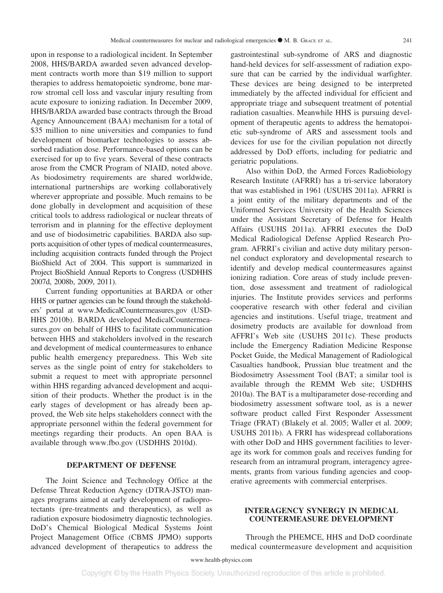upon in response to a radiological incident. In September 2008, HHS/BARDA awarded seven advanced development contracts worth more than \$19 million to support therapies to address hematopoietic syndrome, bone marrow stromal cell loss and vascular injury resulting from acute exposure to ionizing radiation. In December 2009, HHS/BARDA awarded base contracts through the Broad Agency Announcement (BAA) mechanism for a total of \$35 million to nine universities and companies to fund development of biomarker technologies to assess absorbed radiation dose. Performance-based options can be exercised for up to five years. Several of these contracts arose from the CMCR Program of NIAID, noted above. As biodosimetry requirements are shared worldwide, international partnerships are working collaboratively wherever appropriate and possible. Much remains to be done globally in development and acquisition of these critical tools to address radiological or nuclear threats of terrorism and in planning for the effective deployment and use of biodosimetric capabilities. BARDA also supports acquisition of other types of medical countermeasures, including acquisition contracts funded through the Project BioShield Act of 2004. This support is summarized in Project BioShield Annual Reports to Congress (USDHHS 2007d, 2008b, 2009, 2011).

Current funding opportunities at BARDA or other HHS or partner agencies can be found through the stakeholders' portal at<www.MedicalCountermeasures.gov> (USD-HHS 2010b). BARDA developed MedicalCountermeasures.gov on behalf of HHS to facilitate communication between HHS and stakeholders involved in the research and development of medical countermeasures to enhance public health emergency preparedness. This Web site serves as the single point of entry for stakeholders to submit a request to meet with appropriate personnel within HHS regarding advanced development and acquisition of their products. Whether the product is in the early stages of development or has already been approved, the Web site helps stakeholders connect with the appropriate personnel within the federal government for meetings regarding their products. An open BAA is available through<www.fbo.gov> (USDHHS 2010d).

## **DEPARTMENT OF DEFENSE**

The Joint Science and Technology Office at the Defense Threat Reduction Agency (DTRA-JSTO) manages programs aimed at early development of radioprotectants (pre-treatments and therapeutics), as well as radiation exposure biodosimetry diagnostic technologies. DoD's Chemical Biological Medical Systems Joint Project Management Office (CBMS JPMO) supports advanced development of therapeutics to address the

gastrointestinal sub-syndrome of ARS and diagnostic hand-held devices for self-assessment of radiation exposure that can be carried by the individual warfighter. These devices are being designed to be interpreted immediately by the affected individual for efficient and appropriate triage and subsequent treatment of potential radiation casualties. Meanwhile HHS is pursuing development of therapeutic agents to address the hematopoietic sub-syndrome of ARS and assessment tools and devices for use for the civilian population not directly addressed by DoD efforts, including for pediatric and geriatric populations.

Also within DoD, the Armed Forces Radiobiology Research Institute (AFRRI) has a tri-service laboratory that was established in 1961 (USUHS 2011a). AFRRI is a joint entity of the military departments and of the Uniformed Services University of the Health Sciences under the Assistant Secretary of Defense for Health Affairs (USUHS 2011a). AFRRI executes the DoD Medical Radiological Defense Applied Research Program. AFRRI's civilian and active duty military personnel conduct exploratory and developmental research to identify and develop medical countermeasures against ionizing radiation. Core areas of study include prevention, dose assessment and treatment of radiological injuries. The Institute provides services and performs cooperative research with other federal and civilian agencies and institutions. Useful triage, treatment and dosimetry products are available for download from AFFRI's Web site (USUHS 2011c). These products include the Emergency Radiation Medicine Response Pocket Guide, the Medical Management of Radiological Casualties handbook, Prussian blue treatment and the Biodosimetry Assessment Tool (BAT; a similar tool is available through the REMM Web site; USDHHS 2010a). The BAT is a multiparameter dose-recording and biodosimetry assessment software tool, as is a newer software product called First Responder Assessment Triage (FRAT) (Blakely et al. 2005; Waller et al. 2009; USUHS 2011b). A FRRI has widespread collaborations with other DoD and HHS government facilities to leverage its work for common goals and receives funding for research from an intramural program, interagency agreements, grants from various funding agencies and cooperative agreements with commercial enterprises.

# **INTERAGENCY SYNERGY IN MEDICAL COUNTERMEASURE DEVELOPMENT**

Through the PHEMCE, HHS and DoD coordinate medical countermeasure development and acquisition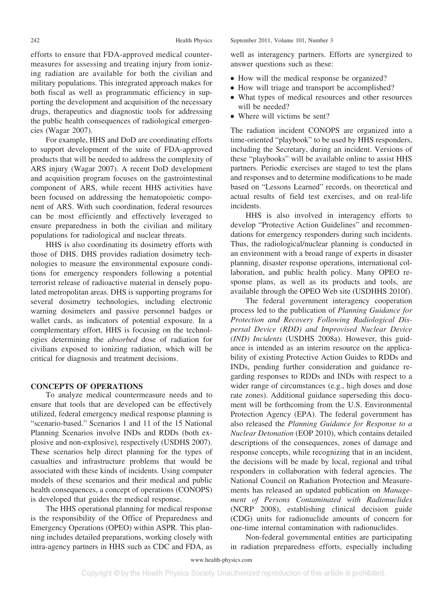efforts to ensure that FDA-approved medical countermeasures for assessing and treating injury from ionizing radiation are available for both the civilian and military populations. This integrated approach makes for both fiscal as well as programmatic efficiency in supporting the development and acquisition of the necessary drugs, therapeutics and diagnostic tools for addressing the public health consequences of radiological emergencies (Wagar 2007).

For example, HHS and DoD are coordinating efforts to support development of the suite of FDA-approved products that will be needed to address the complexity of ARS injury (Wagar 2007). A recent DoD development and acquisition program focuses on the gastrointestinal component of ARS, while recent HHS activities have been focused on addressing the hematopoietic component of ARS. With such coordination, federal resources can be most efficiently and effectively leveraged to ensure preparedness in both the civilian and military populations for radiological and nuclear threats.

HHS is also coordinating its dosimetry efforts with those of DHS. DHS provides radiation dosimetry technologies to measure the environmental exposure conditions for emergency responders following a potential terrorist release of radioactive material in densely populated metropolitan areas. DHS is supporting programs for several dosimetry technologies, including electronic warning dosimeters and passive personnel badges or wallet cards, as indicators of potential exposure. In a complementary effort, HHS is focusing on the technologies determining the *absorbed* dose of radiation for civilians exposed to ionizing radiation, which will be critical for diagnosis and treatment decisions.

# **CONCEPTS OF OPERATIONS**

To analyze medical countermeasure needs and to ensure that tools that are developed can be effectively utilized, federal emergency medical response planning is "scenario-based." Scenarios 1 and 11 of the 15 National Planning Scenarios involve INDs and RDDs (both explosive and non-explosive), respectively (USDHS 2007). These scenarios help direct planning for the types of casualties and infrastructure problems that would be associated with these kinds of incidents. Using computer models of these scenarios and their medical and public health consequences, a concept of operations (CONOPS) is developed that guides the medical response.

The HHS operational planning for medical response is the responsibility of the Office of Preparedness and Emergency Operations (OPEO) within ASPR. This planning includes detailed preparations, working closely with intra-agency partners in HHS such as CDC and FDA, as

well as interagency partners. Efforts are synergized to answer questions such as these:

- How will the medical response be organized?
- How will triage and transport be accomplished?
- What types of medical resources and other resources will be needed?
- Where will victims be sent?

The radiation incident CONOPS are organized into a time-oriented "playbook" to be used by HHS responders, including the Secretary, during an incident. Versions of these "playbooks" will be available online to assist HHS partners. Periodic exercises are staged to test the plans and responses and to determine modifications to be made based on "Lessons Learned" records, on theoretical and actual results of field test exercises, and on real-life incidents.

HHS is also involved in interagency efforts to develop "Protective Action Guidelines" and recommendations for emergency responders during such incidents. Thus, the radiological/nuclear planning is conducted in an environment with a broad range of experts in disaster planning, disaster response operations, international collaboration, and public health policy. Many OPEO response plans, as well as its products and tools, are available through the OPEO Web site (USDHHS 2010f).

The federal government interagency cooperation process led to the publication of *Planning Guidance for Protection and Recovery Following Radiological Dispersal Device (RDD) and Improvised Nuclear Device (IND) Incidents* (USDHS 2008a). However, this guidance is intended as an interim resource on the applicability of existing Protective Action Guides to RDDs and INDs, pending further consideration and guidance regarding responses to RDDs and INDs with respect to a wider range of circumstances (e.g., high doses and dose rate zones). Additional guidance superseding this document will be forthcoming from the U.S. Environmental Protection Agency (EPA). The federal government has also released the *Planning Guidance for Response to a Nuclear Detonation* (EOP 2010), which contains detailed descriptions of the consequences, zones of damage and response concepts, while recognizing that in an incident, the decisions will be made by local, regional and tribal responders in collaboration with federal agencies. The National Council on Radiation Protection and Measurements has released an updated publication on *Management of Persons Contaminated with Radionuclides* (NCRP 2008), establishing clinical decision guide (CDG) units for radionuclide amounts of concern for one-time internal contamination with radionuclides.

Non-federal governmental entities are participating in radiation preparedness efforts, especially including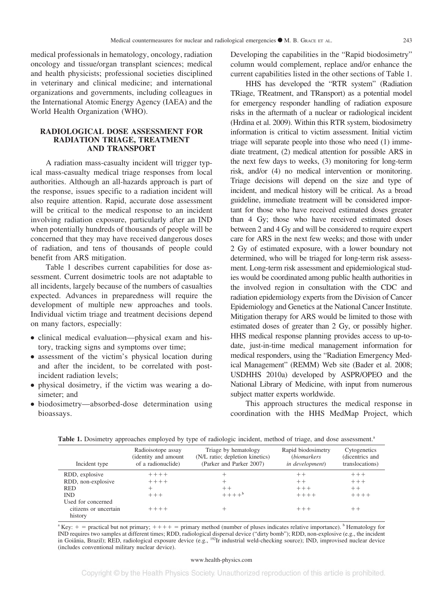medical professionals in hematology, oncology, radiation oncology and tissue/organ transplant sciences; medical and health physicists; professional societies disciplined in veterinary and clinical medicine; and international organizations and governments, including colleagues in the International Atomic Energy Agency (IAEA) and the World Health Organization (WHO).

#### **RADIOLOGICAL DOSE ASSESSMENT FOR RADIATION TRIAGE, TREATMENT AND TRANSPORT**

A radiation mass-casualty incident will trigger typical mass-casualty medical triage responses from local authorities. Although an all-hazards approach is part of the response, issues specific to a radiation incident will also require attention. Rapid, accurate dose assessment will be critical to the medical response to an incident involving radiation exposure, particularly after an IND when potentially hundreds of thousands of people will be concerned that they may have received dangerous doses of radiation, and tens of thousands of people could benefit from ARS mitigation.

Table 1 describes current capabilities for dose assessment. Current dosimetric tools are not adaptable to all incidents, largely because of the numbers of casualties expected. Advances in preparedness will require the development of multiple new approaches and tools. Individual victim triage and treatment decisions depend on many factors, especially:

- clinical medical evaluation—physical exam and history, tracking signs and symptoms over time;
- assessment of the victim's physical location during and after the incident, to be correlated with postincident radiation levels;
- physical dosimetry, if the victim was wearing a dosimeter; and
- biodosimetry—absorbed-dose determination using bioassays.

Developing the capabilities in the "Rapid biodosimetry" column would complement, replace and/or enhance the current capabilities listed in the other sections of Table 1.

HHS has developed the "RTR system" (Radiation TRiage, TReatment, and TRansport) as a potential model for emergency responder handling of radiation exposure risks in the aftermath of a nuclear or radiological incident (Hrdina et al. 2009). Within this RTR system, biodosimetry information is critical to victim assessment. Initial victim triage will separate people into those who need (1) immediate treatment, (2) medical attention for possible ARS in the next few days to weeks, (3) monitoring for long-term risk, and/or (4) no medical intervention or monitoring. Triage decisions will depend on the size and type of incident, and medical history will be critical. As a broad guideline, immediate treatment will be considered important for those who have received estimated doses greater than 4 Gy; those who have received estimated doses between 2 and 4 Gy and will be considered to require expert care for ARS in the next few weeks; and those with under 2 Gy of estimated exposure, with a lower boundary not determined, who will be triaged for long-term risk assessment. Long-term risk assessment and epidemiological studies would be coordinated among public health authorities in the involved region in consultation with the CDC and radiation epidemiology experts from the Division of Cancer Epidemiology and Genetics at the National Cancer Institute. Mitigation therapy for ARS would be limited to those with estimated doses of greater than 2 Gy, or possibly higher. HHS medical response planning provides access to up-todate, just-in-time medical management information for medical responders, using the "Radiation Emergency Medical Management" (REMM) Web site (Bader et al. 2008; USDHHS 2010a) developed by ASPR/OPEO and the National Library of Medicine, with input from numerous subject matter experts worldwide.

This approach structures the medical response in coordination with the HHS MedMap Project, which

| Incident type         | Radioisotope assay<br>(identity and amount)<br>of a radionuclide) | Triage by hematology<br>(N/L ratio; depletion kinetics)<br>(Parker and Parker 2007) | Rapid biodosimetry<br><i>(biomarkers)</i><br><i>in development</i> ) | Cytogenetics<br>(dicentrics and<br>translocations) |
|-----------------------|-------------------------------------------------------------------|-------------------------------------------------------------------------------------|----------------------------------------------------------------------|----------------------------------------------------|
| RDD, explosive        | $+++++$                                                           |                                                                                     | $++$                                                                 | $+++$                                              |
| RDD, non-explosive    | $+++++$                                                           |                                                                                     | $++$                                                                 | $+++$                                              |
| <b>RED</b>            |                                                                   | $_{++}$                                                                             | $+++$                                                                | $++$                                               |
| <b>IND</b>            | $++ +$                                                            | $++++b$                                                                             | $+++++$                                                              | $+++++$                                            |
| Used for concerned    |                                                                   |                                                                                     |                                                                      |                                                    |
| citizens or uncertain | $+++++$                                                           |                                                                                     | $+ + +$                                                              | $^+$ $^+$                                          |
| history               |                                                                   |                                                                                     |                                                                      |                                                    |

**Table 1.** Dosimetry approaches employed by type of radiologic incident, method of triage, and dose assessment.<sup>a</sup>

 $a^a$  Key:  $+$  = practical but not primary;  $++$  + = primary method (number of pluses indicates relative importance). <sup>b</sup> Hematology for IND requires two samples at different times; RDD, radiological dispersal device ("dirty bomb"); RDD, non-explosive (e.g., the incident in Goiânia, Brazil); RED, radiological exposure device (e.g., <sup>192</sup>Ir industrial weld-checking source); IND, improvised nuclear device (includes conventional military nuclear device).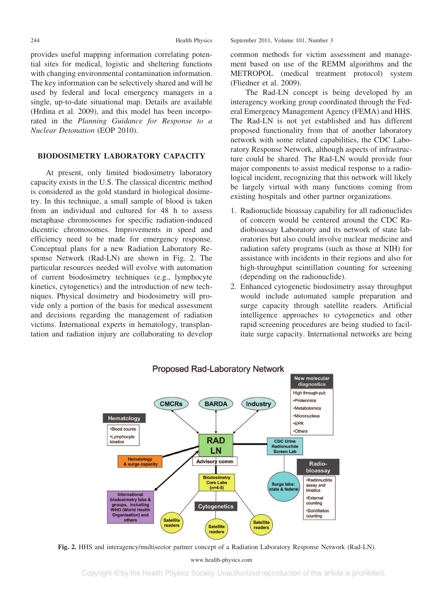provides useful mapping information correlating potential sites for medical, logistic and sheltering functions with changing environmental contamination information. The key information can be selectively shared and will be used by federal and local emergency managers in a single, up-to-date situational map. Details are available (Hrdina et al. 2009), and this model has been incorporated in the *Planning Guidance for Response to a Nuclear Detonation* (EOP 2010).

# **BIODOSIMETRY LABORATORY CAPACITY**

At present, only limited biodosimetry laboratory capacity exists in the U.S. The classical dicentric method is considered as the gold standard in biological dosimetry. In this technique, a small sample of blood is taken from an individual and cultured for 48 h to assess metaphase chromosomes for specific radiation-induced dicentric chromosomes. Improvements in speed and efficiency need to be made for emergency response. Conceptual plans for a new Radiation Laboratory Response Network (Rad-LN) are shown in Fig. 2. The particular resources needed will evolve with automation of current biodosimetry techniques (e.g., lymphocyte kinetics, cytogenetics) and the introduction of new techniques. Physical dosimetry and biodosimetry will provide only a portion of the basis for medical assessment and decisions regarding the management of radiation victims. International experts in hematology, transplantation and radiation injury are collaborating to develop

common methods for victim assessment and management based on use of the REMM algorithms and the METROPOL (medical treatment protocol) system (Fliedner et al. 2009).

The Rad-LN concept is being developed by an interagency working group coordinated through the Federal Emergency Management Agency (FEMA) and HHS. The Rad-LN is not yet established and has different proposed functionality from that of another laboratory network with some related capabilities, the CDC Laboratory Response Network, although aspects of infrastructure could be shared. The Rad-LN would provide four major components to assist medical response to a radiological incident, recognizing that this network will likely be largely virtual with many functions coming from existing hospitals and other partner organizations.

- 1. Radionuclide bioassay capability for all radionuclides of concern would be centered around the CDC Radiobioassay Laboratory and its network of state laboratories but also could involve nuclear medicine and radiation safety programs (such as those at NIH) for assistance with incidents in their regions and also for high-throughput scintillation counting for screening (depending on the radionuclide).
- 2. Enhanced cytogenetic biodosimetry assay throughput would include automated sample preparation and surge capacity through satellite readers. Artificial intelligence approaches to cytogenetics and other rapid screening procedures are being studied to facilitate surge capacity. International networks are being



**Fig. 2.** HHS and interagency/multisector partner concept of a Radiation Laboratory Response Network (Rad-LN).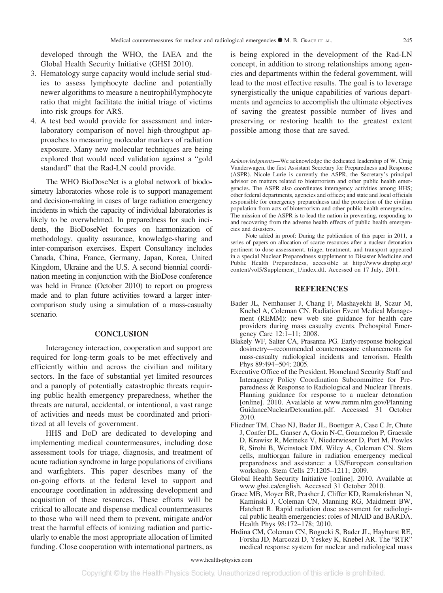developed through the WHO, the IAEA and the Global Health Security Initiative (GHSI 2010).

- 3. Hematology surge capacity would include serial studies to assess lymphocyte decline and potentially newer algorithms to measure a neutrophil/lymphocyte ratio that might facilitate the initial triage of victims into risk groups for ARS.
- 4. A test bed would provide for assessment and interlaboratory comparison of novel high-throughput approaches to measuring molecular markers of radiation exposure. Many new molecular techniques are being explored that would need validation against a "gold standard" that the Rad-LN could provide.

The WHO BioDoseNet is a global network of biodosimetry laboratories whose role is to support management and decision-making in cases of large radiation emergency incidents in which the capacity of individual laboratories is likely to be overwhelmed. In preparedness for such incidents, the BioDoseNet focuses on harmonization of methodology, quality assurance, knowledge-sharing and inter-comparison exercises. Expert Consultancy includes Canada, China, France, Germany, Japan, Korea, United Kingdom, Ukraine and the U.S. A second biennial coordination meeting in conjunction with the BioDose conference was held in France (October 2010) to report on progress made and to plan future activities toward a larger intercomparison study using a simulation of a mass-casualty scenario.

## **CONCLUSION**

Interagency interaction, cooperation and support are required for long-term goals to be met effectively and efficiently within and across the civilian and military sectors. In the face of substantial yet limited resources and a panoply of potentially catastrophic threats requiring public health emergency preparedness, whether the threats are natural, accidental, or intentional, a vast range of activities and needs must be coordinated and prioritized at all levels of government.

HHS and DoD are dedicated to developing and implementing medical countermeasures, including dose assessment tools for triage, diagnosis, and treatment of acute radiation syndrome in large populations of civilians and warfighters. This paper describes many of the on-going efforts at the federal level to support and encourage coordination in addressing development and acquisition of these resources. These efforts will be critical to allocate and dispense medical countermeasures to those who will need them to prevent, mitigate and/or treat the harmful effects of ionizing radiation and particularly to enable the most appropriate allocation of limited funding. Close cooperation with international partners, as

is being explored in the development of the Rad-LN concept, in addition to strong relationships among agencies and departments within the federal government, will lead to the most effective results. The goal is to leverage synergistically the unique capabilities of various departments and agencies to accomplish the ultimate objectives of saving the greatest possible number of lives and preserving or restoring health to the greatest extent possible among those that are saved.

*Acknowledgments*—We acknowledge the dedicated leadership of W. Craig Vanderwagen, the first Assistant Secretary for Preparedness and Response (ASPR). Nicole Lurie is currently the ASPR, the Secretary's principal advisor on matters related to bioterrorism and other public health emergencies. The ASPR also coordinates interagency activities among HHS; other federal departments, agencies and offices; and state and local officials responsible for emergency preparedness and the protection of the civilian population from acts of bioterrorism and other public health emergencies. The mission of the ASPR is to lead the nation in preventing, responding to and recovering from the adverse health effects of public health emergencies and disasters.

Note added in proof: During the publication of this paper in 2011, a series of papers on allocation of scarce resources after a nuclear detonation pertinent to dose assessment, triage, treatment, and transport appeared in a special Nuclear Preparedness supplement to Disaster Medicine and Public Health Preparedness, accessible at [http://www.dmphp.org/](http://www.dmphp.org/content/vol5/Supplement_1/index.dtl) [content/vol5/Supplement\\_1/index.dtl.](http://www.dmphp.org/content/vol5/Supplement_1/index.dtl) Accessed on 17 July, 2011.

#### **REFERENCES**

- Bader JL, Nemhauser J, Chang F, Mashayekhi B, Sczur M, Knebel A, Coleman CN. Radiation Event Medical Management (REMM): new web site guidance for health care providers during mass casualty events. Prehospital Emergency Care 12:1–11; 2008.
- Blakely WF, Salter CA, Prasanna PG. Early-response biological dosimetry—recommended countermeasure enhancements for mass-casualty radiological incidents and terrorism. Health Phys 89:494-504; 2005.
- Executive Office of the President. Homeland Security Staff and Interagency Policy Coordination Subcommittee for Preparedness & Response to Radiological and Nuclear Threats. Planning guidance for response to a nuclear detonation [online]. 2010. Available at [www.remm.nlm.gov/Planning](www.remm.nlm.gov/PlanningGuidanceNuclearDetonation.pdf) [GuidanceNuclearDetonation.pdf.](www.remm.nlm.gov/PlanningGuidanceNuclearDetonation.pdf) Accessed 31 October 2010.
- Fliedner TM, Chao NJ, Bader JL, Boettger A, Case C Jr, Chute J, Confer DL, Ganser A, Gorin N-C, Gourmelon P, Graessle D, Krawisz R, Meineke V, Niederwieser D, Port M, Powles R, Sirohi B, Weinstock DM, Wiley A, Coleman CN. Stem cells, multiorgan failure in radiation emergency medical preparedness and assistance: a US/European consultation workshop. Stem Cells 27:1205–1211; 2009.
- Global Health Security Initiative [online]. 2010. Available at [www.ghsi.ca/english.](www.ghsi.ca/english) Accessed 31 October 2010.
- Grace MB, Moyer BR, Prasher J, Cliffer KD, Ramakrishnan N, Kaminski J, Coleman CN, Manning RG, Maidment BW, Hatchett R. Rapid radiation dose assessment for radiological public health emergencies: roles of NIAID and BARDA. Health Phys 98:172–178; 2010.
- Hrdina CM, Coleman CN, Bogucki S, Bader JL, Hayhurst RE, Forsha JD, Marcozzi D, Yeskey K, Knebel AR. The "RTR" medical response system for nuclear and radiological mass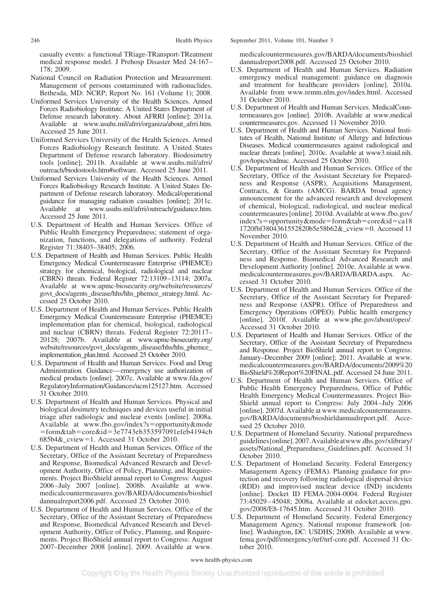casualty events: a functional TRiage-TRansport-TReatment medical response model. J Prehosp Disaster Med 24:167– 178; 2009.

- National Council on Radiation Protection and Measurement. Management of persons contaminated with radionuclides. Bethesda, MD: NCRP; Report No. 161 (Volume 1); 2008.
- Uniformed Services University of the Health Sciences. Armed Forces Radiobiology Institute. A United States Department of Defense research laboratory. About AFRRI [online]; 2011a. Available at [www.usuhs.mil/afrri/organiza/about\\_afrri.htm.](www.usuhs.mil/afrri/organiza/about_afrri.htm) Accessed 25 June 2011.
- Uniformed Services University of the Health Sciences. Armed Forces Radiobiology Research Institute. A United States Department of Defense research laboratory. Biodosimetry tools [online]; 2011b. Available at [www.usuhs.mil/afrri/](www.usuhs.mil/afrri/outreach/biodostools.htm) [outreach/biodostools.htm#](www.usuhs.mil/afrri/outreach/biodostools.htm)software. Accessed 25 June 2011.
- Uniformed Services University of the Health Sciences. Armed Forces Radiobiology Research Institute. A United States Department of Defense research laboratory. Medical/operational guidance for managing radiation casualties [online]; 2011c. Available at [www.usuhs.mil/afrri/outreach/guidance.htm.](www.usuhs.mil/afrri/outreach/guidance.htm) Accessed 25 June 2011.
- U.S. Department of Health and Human Services. Office of Public Health Emergency Preparedness; statement of organization, functions, and delegations of authority. Federal Register 71:38403–38405; 2006.
- U.S. Department of Health and Human Services. Public Health Emergency Medical Countermeasure Enterprise (PHEMCE) strategy for chemical, biological, radiological and nuclear (CBRN) threats. Federal Register 72:13109 –13114; 2007a. Available at [www.upmc-biosecurity.org/website/resources/](www.upmc-biosecurity.org/website/resources/govt_docs/agents_disease/hhs/hhs_phemce_strategy.html) [govt\\_docs/agents\\_disease/hhs/hhs\\_phemce\\_strategy.html.](www.upmc-biosecurity.org/website/resources/govt_docs/agents_disease/hhs/hhs_phemce_strategy.html) Accessed 25 October 2010.
- U.S. Department of Health and Human Services. Public Health Emergency Medical Countermeasure Enterprise (PHEMCE) implementation plan for chemical, biological, radiological and nuclear (CBRN) threats. Federal Register 72:20117– 20128; 2007b. Available at [www.upmc-biosecurity.org/](www.upmc-biosecurity.org/website/resources/govt_docs/agents_disease/hhs/hhs_phemce_implementation_plan.html) [website/resources/govt\\_docs/agents\\_disease/hhs/hhs\\_phemce\\_](www.upmc-biosecurity.org/website/resources/govt_docs/agents_disease/hhs/hhs_phemce_implementation_plan.html) [implementation\\_plan.html.](www.upmc-biosecurity.org/website/resources/govt_docs/agents_disease/hhs/hhs_phemce_implementation_plan.html) Accessed 25 October 2010.
- U.S. Department of Health and Human Services. Food and Drug Administration. Guidance—emergency use authorization of medical products [online]. 2007c. Available at [www.fda.gov/](www.fda.gov/RegulatoryInformation/Guidances/ucm125127.htm) [RegulatoryInformation/Guidances/ucm125127.htm.](www.fda.gov/RegulatoryInformation/Guidances/ucm125127.htm) Accessed 31 October 2010.
- U.S. Department of Health and Human Services. Physical and biological dosimetry techniques and devices useful in initial triage after radiologic and nuclear events [online]. 2008a. Available at [www.fbo.gov/index?s](www.fbo.gov/index?s=opportunity&mode=form&tab=core&id=3e7743eb353597091efeb4194cb685b4&_cview=1)-opportunity&mode =form&tab=core&id=[3e7743eb353597091efeb4194cb](www.fbo.gov/index?s=opportunity&mode=form&tab=core&id=3e7743eb353597091efeb4194cb685b4&_cview=1) [685b4&\\_cview](www.fbo.gov/index?s=opportunity&mode=form&tab=core&id=3e7743eb353597091efeb4194cb685b4&_cview=1)-1. Accessed 31 October 2010.
- U.S. Department of Health and Human Services. Office of the Secretary, Office of the Assistant Secretary of Preparedness and Response, Biomedical Advanced Research and Development Authority, Office of Policy, Planning, and Requirements. Project BioShield annual report to Congress: August 2006 –July 2007 [online]. 2008b. Available at [www.](www.medicalcountermeasures.gov/BARDA/documents/bioshieldannualreport2006.pdf) [medicalcountermeasures.gov/BARDA/documents/bioshiel](www.medicalcountermeasures.gov/BARDA/documents/bioshieldannualreport2006.pdf) [dannualreport2006.pdf.](www.medicalcountermeasures.gov/BARDA/documents/bioshieldannualreport2006.pdf) Accessed 25 October 2010.
- U.S. Department of Health and Human Services. Office of the Secretary, Office of the Assistant Secretary of Preparedness and Response, Biomedical Advanced Research and Development Authority, Office of Policy, Planning, and Requirements. Project BioShield annual report to Congress: August 2007–December 2008 [online]. 2009. Available at [www.](www.medicalcountermeasures.gov/BARDA/documents/bioshieldannualreport2008.pdf)

246 Health Physics September 2011, Volume 101, Number 3

[medicalcountermeasures.gov/BARDA/documents/bioshiel](www.medicalcountermeasures.gov/BARDA/documents/bioshieldannualreport2008.pdf) [dannualreport2008.pdf.](www.medicalcountermeasures.gov/BARDA/documents/bioshieldannualreport2008.pdf) Accessed 25 October 2010.

- U.S. Department of Health and Human Services. Radiation emergency medical management: guidance on diagnosis and treatment for healthcare providers [online]. 2010a. Available from [www.remm.nlm.gov/index.html.](www.remm.nlm.gov/index.html) Accessed 31 October 2010.
- U.S. Department of Health and Human Services. MedicalCountermeasures.gov [online]. 2010b. Available at [www.medical](www.medicalcountermeasures.gov) [countermeasures.gov.](www.medicalcountermeasures.gov) Accessed 11 November 2010.
- U.S. Department of Health and Human Services. National Institutes of Health, National Institute of Allergy and Infectious Diseases. Medical countermeasures against radiological and nuclear threats [online]. 2010c. Available at [www3.niaid.nih.](www3.niaid.nih.gov/topics/radnuc) [gov/topics/radnuc.](www3.niaid.nih.gov/topics/radnuc) Accessed 25 October 2010.
- U.S. Department of Health and Human Services. Office of the Secretary, Office of the Assistant Secretary for Preparedness and Response (ASPR), Acquisitions Management, Contracts, & Grants (AMCG). BARDA broad agency announcement for the advanced research and development of chemical, biological, radiological, and nuclear medical countermeasures [online]. 2010d. Available at [www.fbo.gov/](www.fbo.gov/index?s=opportunity&mode=form&tab=core&id=ca181720fbf3804361552820b5e58b62&_cview=0) index?s=[opportunity&mode](www.fbo.gov/index?s=opportunity&mode=form&tab=core&id=ca181720fbf3804361552820b5e58b62&_cview=0)=form&tab=core&id=ca18 [1720fbf3804361552820b5e58b62&\\_cview](www.fbo.gov/index?s=opportunity&mode=form&tab=core&id=ca181720fbf3804361552820b5e58b62&_cview=0)-0. Accessed 11 November 2010.
- U.S. Department of Health and Human Services. Office of the Secretary, Office of the Assistant Secretary for Preparedness and Response. Biomedical Advanced Research and Development Authority [online]. 2010e. Available at [www.](www.medicalcountermeasures.gov/BARDA/BARDA.aspx) [medicalcountermeasures.gov/BARDA/BARDA.aspx.](www.medicalcountermeasures.gov/BARDA/BARDA.aspx) Accessed 31 October 2010.
- U.S. Department of Health and Human Services. Office of the Secretary, Office of the Assistant Secretary for Preparedness and Response (ASPR), Office of Preparedness and Emergency Operations (OPEO). Public health emergency [online]. 2010f. Available at [www.phe.gov/about/opeo/.](www.phe.gov/about/opeo/) Accessed 31 October 2010.
- U.S. Department of Health and Human Services. Office of the Secretary, Office of the Assistant Secretary of Preparedness and Response. Project BioShield annual report to Congress: January–December 2009 [online]; 2011. Available at [www.](www.medicalcountermeasures.gov/BARDA/documents/2009%20BioShield%20Report%20FINAL.pdf) [medicalcountermeasures.gov/BARDA/documents/2009%20](www.medicalcountermeasures.gov/BARDA/documents/2009%20BioShield%20Report%20FINAL.pdf) [BioShield%20Report%20FINAL.pdf.](www.medicalcountermeasures.gov/BARDA/documents/2009%20BioShield%20Report%20FINAL.pdf) Accessed 24 June 2011.
- U.S. Department of Health and Human Services. Office of Public Health Emergency Preparedness, Office of Public Health Emergency Medical Countermeasures. Project Bio-Shield annual report to Congress: July 2004 –July 2006 [online]. 2007d. Available at [www.medicalcountermeasures.](www.medicalcountermeasures.gov/BARDA/documents/bioshieldannualreport.pdf) [gov/BARDA/documents/bioshieldannualreport.pdf.](www.medicalcountermeasures.gov/BARDA/documents/bioshieldannualreport.pdf) Accessed 25 October 2010.
- U.S. Department of Homeland Security. National preparedness guidelines[online].2007.Availablea[twww.dhs.gov/xlibrary/](www.dhs.gov/xlibrary/assets/National_Preparedness_Guidelines.pdf) [assets/National\\_Preparedness\\_Guidelines.pdf.](www.dhs.gov/xlibrary/assets/National_Preparedness_Guidelines.pdf) Accessed 31 October 2010.
- U.S. Department of Homeland Security. Federal Emergency Management Agency (FEMA). Planning guidance for protection and recovery following radiological dispersal device (RDD) and improvised nuclear device (IND) incidents [online]. Docket ID FEMA-2004-0004. Federal Register 73:45029 – 45048; 2008a. Available at [edocket.access.gpo.](edocket.access.gpo.gov/2008/E8-17645.htm) [gov/2008/E8-17645.htm.](edocket.access.gpo.gov/2008/E8-17645.htm) Accessed 31 October 2010.
- U.S. Department of Homeland Security. Federal Emergency Management Agency. National response framework [online]. Washington, DC: USDHS; 2008b. Available at [www.](www.fema.gov/pdf/emergency/nrf/nrf-core.pdf) [fema.gov/pdf/emergency/nrf/nrf-core.pdf.](www.fema.gov/pdf/emergency/nrf/nrf-core.pdf) Accessed 31 October 2010.